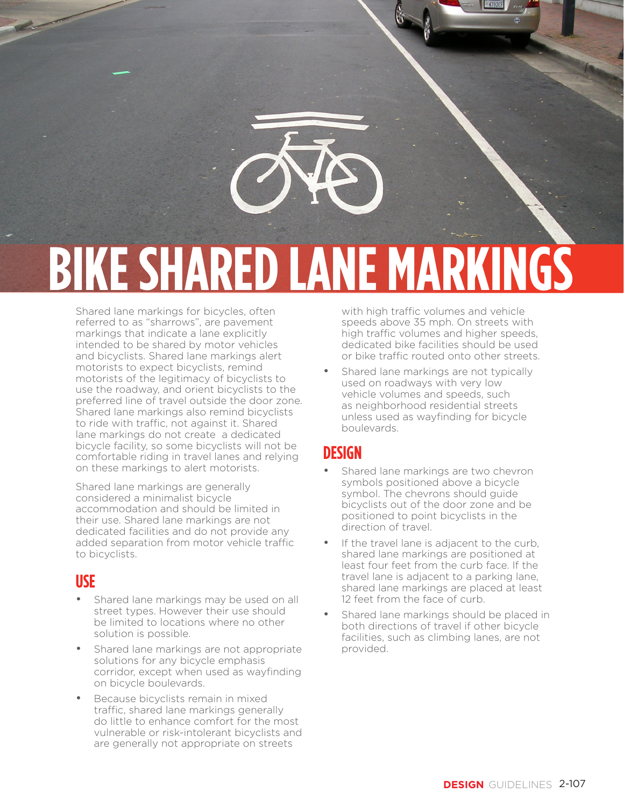

#### Shared lane markings for bicycles, often referred to as "sharrows", are pavement markings that indicate a lane explicitly intended to be shared by motor vehicles and bicyclists. Shared lane markings alert motorists to expect bicyclists, remind motorists of the legitimacy of bicyclists to use the roadway, and orient bicyclists to the preferred line of travel outside the door zone. Shared lane markings also remind bicyclists to ride with traffic, not against it. Shared lane markings do not create a dedicated bicycle facility, so some bicyclists will not be comfortable riding in travel lanes and relying on these markings to alert motorists.

Shared lane markings are generally considered a minimalist bicycle accommodation and should be limited in their use. Shared lane markings are not dedicated facilities and do not provide any added separation from motor vehicle traffic to bicyclists.

## **USE**

- Shared lane markings may be used on all street types. However their use should be limited to locations where no other solution is possible.
- Shared lane markings are not appropriate solutions for any bicycle emphasis corridor, except when used as wayfinding on bicycle boulevards.
- Because bicyclists remain in mixed traffic, shared lane markings generally do little to enhance comfort for the most vulnerable or risk-intolerant bicyclists and are generally not appropriate on streets

with high traffic volumes and vehicle speeds above 35 mph. On streets with high traffic volumes and higher speeds, dedicated bike facilities should be used or bike traffic routed onto other streets.

Shared lane markings are not typically used on roadways with very low vehicle volumes and speeds, such as neighborhood residential streets unless used as wayfinding for bicycle boulevards.

# **DESIGN**

- Shared lane markings are two chevron symbols positioned above a bicycle symbol. The chevrons should guide bicyclists out of the door zone and be positioned to point bicyclists in the direction of travel.
- If the travel lane is adjacent to the curb, shared lane markings are positioned at least four feet from the curb face. If the travel lane is adjacent to a parking lane, shared lane markings are placed at least 12 feet from the face of curb.
- Shared lane markings should be placed in both directions of travel if other bicycle facilities, such as climbing lanes, are not provided.